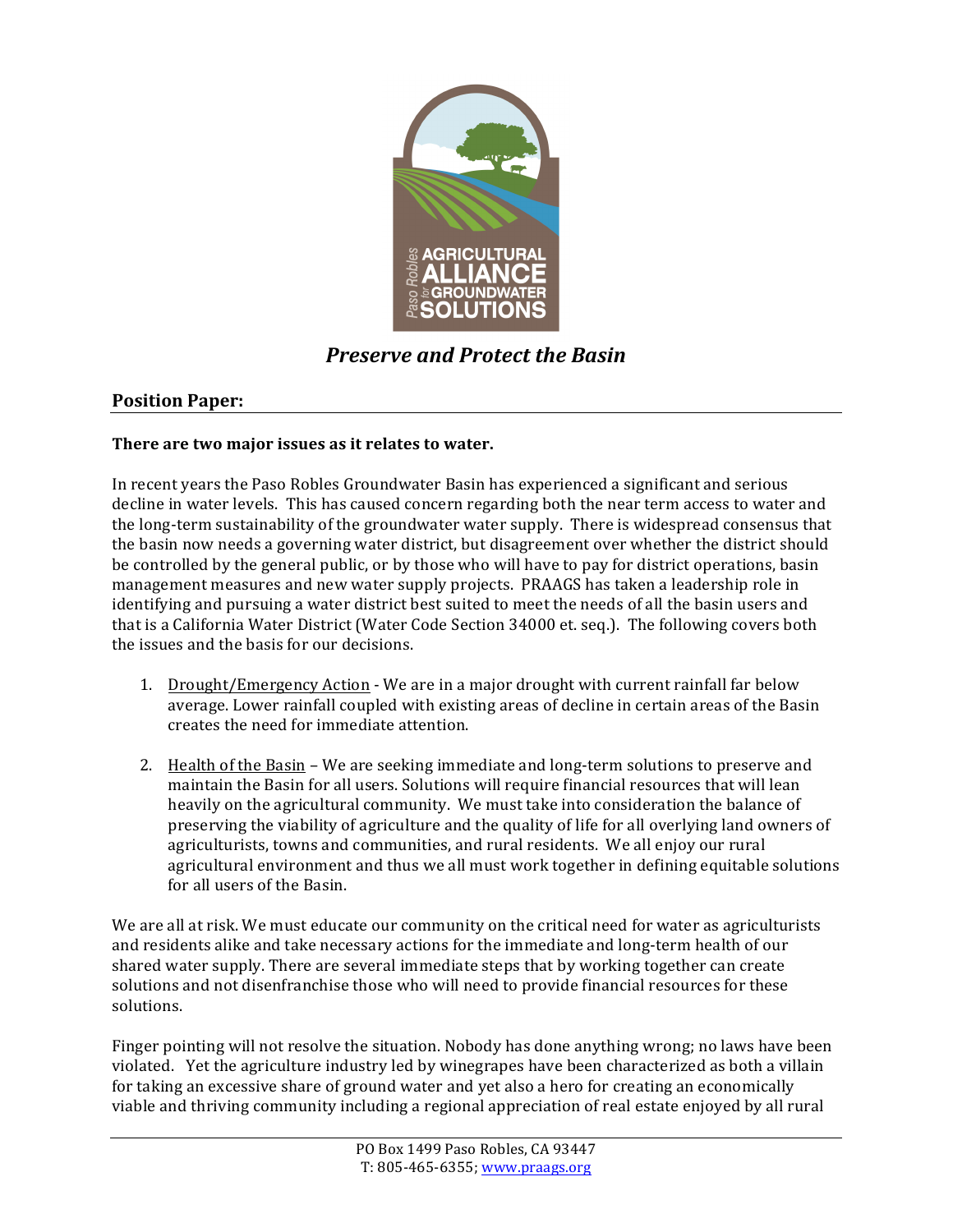

# **Preserve and Protect the Basin**

## **Position Paper:**

### There are two major issues as it relates to water.

In recent years the Paso Robles Groundwater Basin has experienced a significant and serious decline in water levels. This has caused concern regarding both the near term access to water and the long-term sustainability of the groundwater water supply. There is widespread consensus that the basin now needs a governing water district, but disagreement over whether the district should be controlled by the general public, or by those who will have to pay for district operations, basin management measures and new water supply projects. PRAAGS has taken a leadership role in identifying and pursuing a water district best suited to meet the needs of all the basin users and that is a California Water District (Water Code Section 34000 et. seq.). The following covers both the issues and the basis for our decisions.

- 1. Drought/Emergency Action We are in a major drought with current rainfall far below average. Lower rainfall coupled with existing areas of decline in certain areas of the Basin creates the need for immediate attention.
- 2. Health of the Basin We are seeking immediate and long-term solutions to preserve and maintain the Basin for all users. Solutions will require financial resources that will lean heavily on the agricultural community. We must take into consideration the balance of preserving the viability of agriculture and the quality of life for all overlying land owners of agriculturists, towns and communities, and rural residents. We all enjoy our rural agricultural environment and thus we all must work together in defining equitable solutions for all users of the Basin.

We are all at risk. We must educate our community on the critical need for water as agriculturists and residents alike and take necessary actions for the immediate and long-term health of our shared water supply. There are several immediate steps that by working together can create solutions and not disenfranchise those who will need to provide financial resources for these solutions.

Finger pointing will not resolve the situation. Nobody has done anything wrong; no laws have been violated. Yet the agriculture industry led by winegrapes have been characterized as both a villain for taking an excessive share of ground water and yet also a hero for creating an economically viable and thriving community including a regional appreciation of real estate enjoyed by all rural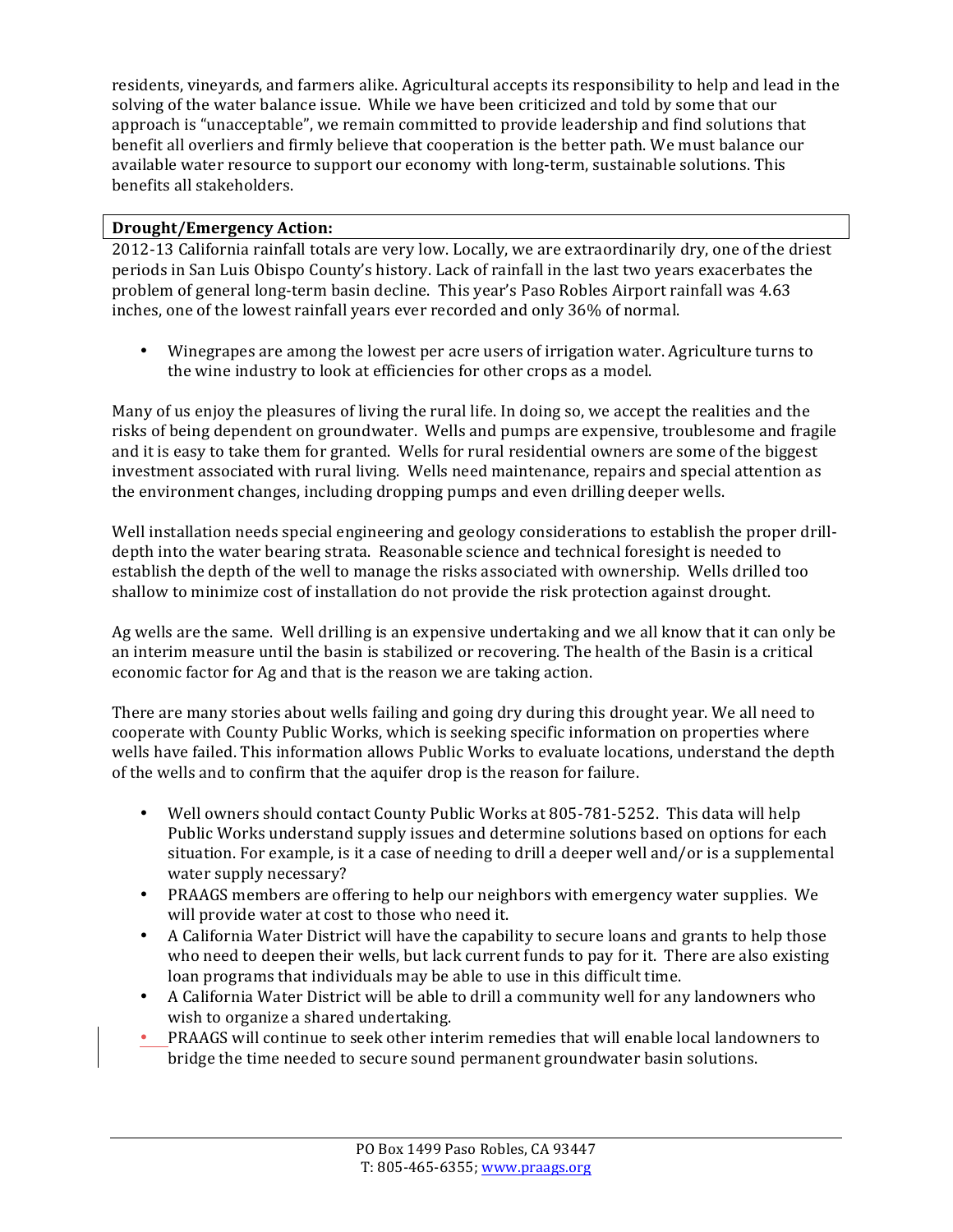residents, vineyards, and farmers alike. Agricultural accepts its responsibility to help and lead in the solving of the water balance issue. While we have been criticized and told by some that our approach is "unacceptable", we remain committed to provide leadership and find solutions that benefit all overliers and firmly believe that cooperation is the better path. We must balance our available water resource to support our economy with long-term, sustainable solutions. This benefits all stakeholders.

## **Drought/Emergency!Action:!**

2012-13 California rainfall totals are very low. Locally, we are extraordinarily dry, one of the driest periods in San Luis Obispo County's history. Lack of rainfall in the last two years exacerbates the problem of general long-term basin decline. This year's Paso Robles Airport rainfall was 4.63 inches, one of the lowest rainfall years ever recorded and only 36% of normal.

• Winegrapes are among the lowest per acre users of irrigation water. Agriculture turns to the wine industry to look at efficiencies for other crops as a model.

Many of us enjoy the pleasures of living the rural life. In doing so, we accept the realities and the risks of being dependent on groundwater. Wells and pumps are expensive, troublesome and fragile and it is easy to take them for granted. Wells for rural residential owners are some of the biggest investment associated with rural living. Wells need maintenance, repairs and special attention as the environment changes, including dropping pumps and even drilling deeper wells.

Well installation needs special engineering and geology considerations to establish the proper drilldepth into the water bearing strata. Reasonable science and technical foresight is needed to establish the depth of the well to manage the risks associated with ownership. Wells drilled too shallow to minimize cost of installation do not provide the risk protection against drought.

Ag wells are the same. Well drilling is an expensive undertaking and we all know that it can only be an interim measure until the basin is stabilized or recovering. The health of the Basin is a critical economic factor for Ag and that is the reason we are taking action.

There are many stories about wells failing and going dry during this drought year. We all need to cooperate with County Public Works, which is seeking specific information on properties where wells have failed. This information allows Public Works to evaluate locations, understand the depth of the wells and to confirm that the aquifer drop is the reason for failure.

- Well owners should contact County Public Works at 805-781-5252. This data will help Public Works understand supply issues and determine solutions based on options for each situation. For example, is it a case of needing to drill a deeper well and/or is a supplemental water supply necessary?
- PRAAGS members are offering to help our neighbors with emergency water supplies. We will provide water at cost to those who need it.
- A California Water District will have the capability to secure loans and grants to help those who need to deepen their wells, but lack current funds to pay for it. There are also existing loan programs that individuals may be able to use in this difficult time.
- A California Water District will be able to drill a community well for any landowners who wish to organize a shared undertaking.
- PRAAGS will continue to seek other interim remedies that will enable local landowners to bridge the time needed to secure sound permanent groundwater basin solutions.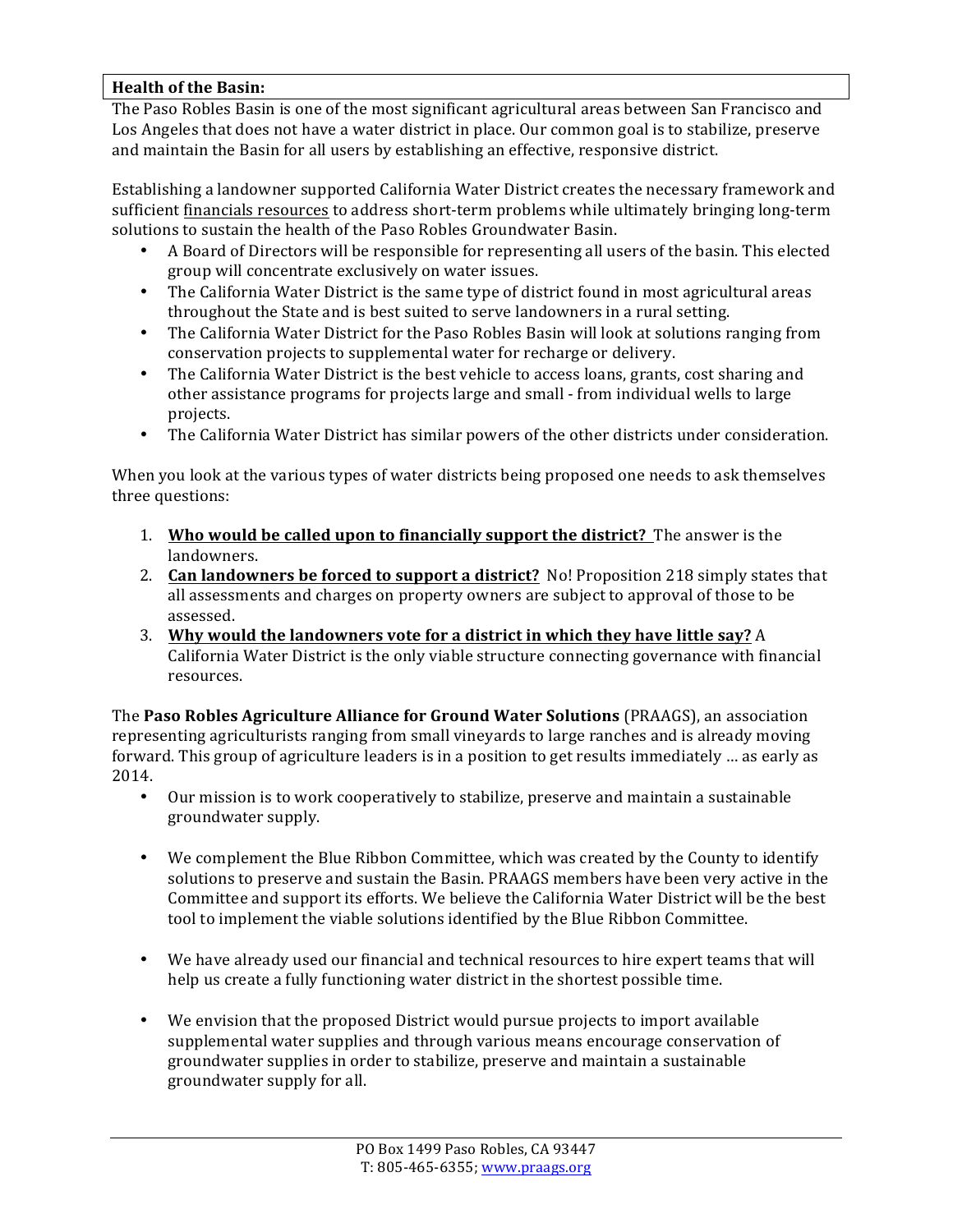### **Health of the Basin:**

The Paso Robles Basin is one of the most significant agricultural areas between San Francisco and Los Angeles that does not have a water district in place. Our common goal is to stabilize, preserve and maintain the Basin for all users by establishing an effective, responsive district.

Establishing a landowner supported California Water District creates the necessary framework and sufficient financials resources to address short-term problems while ultimately bringing long-term solutions to sustain the health of the Paso Robles Groundwater Basin.

- A Board of Directors will be responsible for representing all users of the basin. This elected group will concentrate exclusively on water issues.
- The California Water District is the same type of district found in most agricultural areas throughout the State and is best suited to serve landowners in a rural setting.
- The California Water District for the Paso Robles Basin will look at solutions ranging from conservation projects to supplemental water for recharge or delivery.
- The California Water District is the best vehicle to access loans, grants, cost sharing and other assistance programs for projects large and small - from individual wells to large projects.
- The California Water District has similar powers of the other districts under consideration.

When you look at the various types of water districts being proposed one needs to ask themselves three questions:

- 1. **Who would be called upon to financially support the district?** The answer is the landowners.
- 2. **Can landowners be forced to support a district?** No! Proposition 218 simply states that all assessments and charges on property owners are subject to approval of those to be assessed.
- 3. **Why would the landowners vote for a district in which they have little say?** A California Water District is the only viable structure connecting governance with financial resources.

The **Paso Robles Agriculture Alliance for Ground Water Solutions** (PRAAGS), an association representing agriculturists ranging from small vineyards to large ranches and is already moving forward. This group of agriculture leaders is in a position to get results immediately … as early as 2014.!

- Our mission is to work cooperatively to stabilize, preserve and maintain a sustainable groundwater supply.
- We complement the Blue Ribbon Committee, which was created by the County to identify solutions to preserve and sustain the Basin. PRAAGS members have been very active in the Committee and support its efforts. We believe the California Water District will be the best tool to implement the viable solutions identified by the Blue Ribbon Committee.
- We have already used our financial and technical resources to hire expert teams that will help us create a fully functioning water district in the shortest possible time.
- We envision that the proposed District would pursue projects to import available supplemental water supplies and through various means encourage conservation of groundwater supplies in order to stabilize, preserve and maintain a sustainable groundwater supply for all.